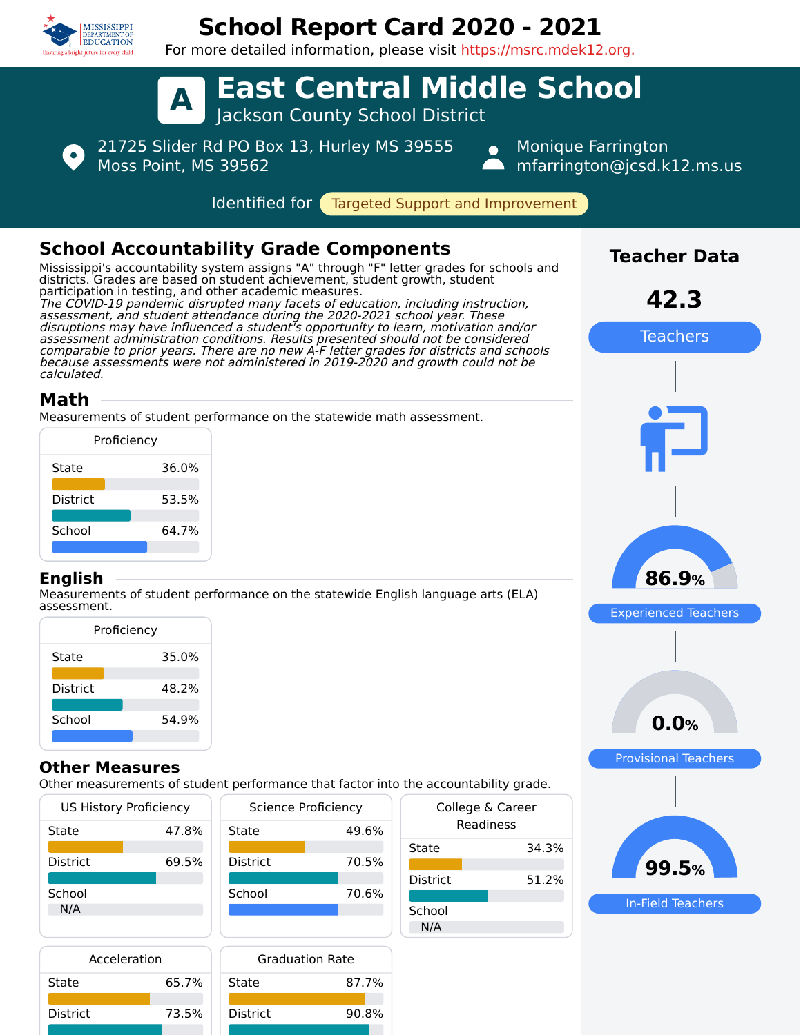

State 65.7%

State 87.7%

District 90.8%

District 73.5%

# **School Report Card 2020 - 2021**

For more detailed information, please visit https://msrc.mdek12.org.